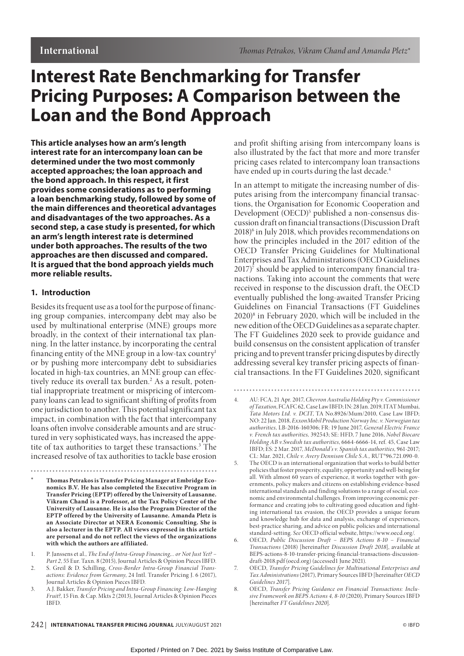# **Interest Rate Benchmarking for Transfer Pricing Purposes: A Comparison between the Loan and the Bond Approach**

**This article analyses how an arm's length interest rate for an intercompany loan can be determined under the two most commonly accepted approaches; the loan approach and the bond approach. In this respect, it first provides some considerations as to performing a loan benchmarking study, followed by some of the main differences and theoretical advantages and disadvantages of the two approaches. As a second step, a case study is presented, for which an arm's length interest rate is determined under both approaches. The results of the two approaches are then discussed and compared. It is argued that the bond approach yields much more reliable results.** 

# **1. Introduction**

Besides its frequent use as a tool for the purpose of financing group companies, intercompany debt may also be used by multinational enterprise (MNE) groups more broadly, in the context of their international tax planning. In the latter instance, by incorporating the central financing entity of the MNE group in a low-tax country1 or by pushing more intercompany debt to subsidiaries located in high-tax countries, an MNE group can effectively reduce its overall tax burden.<sup>2</sup> As a result, potential inappropriate treatment or mispricing of intercompany loans can lead to significant shifting of profits from one jurisdiction to another. This potential significant tax impact, in combination with the fact that intercompany loans often involve considerable amounts and are structured in very sophisticated ways, has increased the appetite of tax authorities to target these transactions.<sup>3</sup> The increased resolve of tax authorities to tackle base erosion

**\* Thomas Petrakos is Transfer Pricing Manager at Embridge Economics B.V. He has also completed the Executive Program in Transfer Pricing (EPTP) offered by the University of Lausanne. Vikram Chand is a Professor, at the Tax Policy Center of the University of Lausanne. He is also the Program Director of the EPTP offered by the University of Lausanne. Amanda Pletz is an Associate Director at NERA Economic Consulting. She is also a lecturer in the EPTP. All views expressed in this article are personal and do not reflect the views of the organizations with which the authors are affiliated.**

- 1. P. Janssens et al., *The End of Intra-Group Financing,.. or Not Just Yet? Part 2*, 55 Eur. Taxn. 8 (2015), Journal Articles & Opinion Pieces IBFD.
- 2. S. Greil & D. Schilling, *Cross-Border Intra-Group Financial Transactions: Evidence from Germany*, 24 Intl. Transfer Pricing J. 6 (2017), Journal Articles & Opinion Pieces IBFD.
- 3. A.J. Bakker, *Transfer Pricing and Intra-Group Financing: Low-Hanging Fruit?*, 15 Fin. & Cap. Mkts 2 (2013), Journal Articles & Opinion Pieces IBFD.

and profit shifting arising from intercompany loans is also illustrated by the fact that more and more transfer pricing cases related to intercompany loan transactions have ended up in courts during the last decade.<sup>4</sup>

In an attempt to mitigate the increasing number of disputes arising from the intercompany financial transactions, the Organisation for Economic Cooperation and Development (OECD)<sup>5</sup> published a non-consensus discussion draft on financial transactions (Discussion Draft 2018)<sup>6</sup> in July 2018, which provides recommendations on how the principles included in the 2017 edition of the OECD Transfer Pricing Guidelines for Multinational Enterprises and Tax Administrations (OECD Guidelines 2017)<sup>7</sup> should be applied to intercompany financial tranactions. Taking into account the comments that were received in response to the discussion draft, the OECD eventually published the long-awaited Transfer Pricing Guidelines on Financial Transactions (FT Guidelines 2020)8 in February 2020, which will be included in the new edition of the OECD Guidelines as a separate chapter. The FT Guidelines 2020 seek to provide guidance and build consensus on the consistent application of transfer pricing and to prevent transfer pricing disputes by directly addressing several key transfer pricing aspects of financial transactions. In the FT Guidelines 2020, significant

<sup>4.</sup> AU: FCA, 21 Apr. 2017, *Chevron Australia Holding Pty v. Commissioner of Taxation*, FCAFC 62*,* Case Law IBFD; IN: 28 Jan. 2019, ITAT Mumbai, *Tata Motors Ltd. v. DCIT*, TA No.8926/Mum/2010, Case Law IBFD; NO: 22 Jan. 2018, *ExxonMobil Production Norway Inc. v. Norwegian tax authorities,* LB-2016-160306; FR: 19 June 2017, *General Electric France v. French tax authorities,* 392543; SE: HFD, 7 June 2016, *Nobel Biocare Holding AB v.Swedish tax authorities*, 6664-6666-14, ref. 45, Case Law IBFD; ES: 2 Mar. 2017, *McDonald's v. Spanish tax authorities,* 961-2017; CL: Mar. 2021, *Chile v. Avery Dennison Chile S.A.,* RUT°96.721.090-0.

<sup>5.</sup> The OECD is an international organization that works to build better policies that foster prosperity, equality, opportunity and well-being for all. With almost 60 years of experience, it works together with governments, policy makers and citizens on establishing evidence-based international standards and finding solutions to a range of social, economic and environmental challenges. From improving economic performance and creating jobs to cultivating good education and fighting international tax evasion, the OECD provides a unique forum and knowledge hub for data and analysis, exchange of experiences, best-practice sharing, and advice on public policies and international standard-setting. *See* OECD official website, https://www.oecd.org/.

<sup>6.</sup> OECD, *Public Discussion Draft – BEPS Actions 8-10 – Financial Transactions* (2018) [hereinafter *Discussion Draft 2018*], available at BEPS-actions-8-10-transfer-pricing-financial-transactions-discussiondraft-2018.pdf (oecd.org) (accessed1 June 2021).

<sup>7.</sup> OECD, *Transfer Pricing Guidelines for Multinational Enterprises and Tax Administrations* (2017), Primary Sources IBFD [hereinafter *OECD Guidelines 2017*].

<sup>8.</sup> OECD, *Transfer Pricing Guidance on Financial Transactions: Inclusive Framework on BEPS Actions 4, 8-10* (2020), Primary Sources IBFD [hereinafter *FT Guidelines 2020*].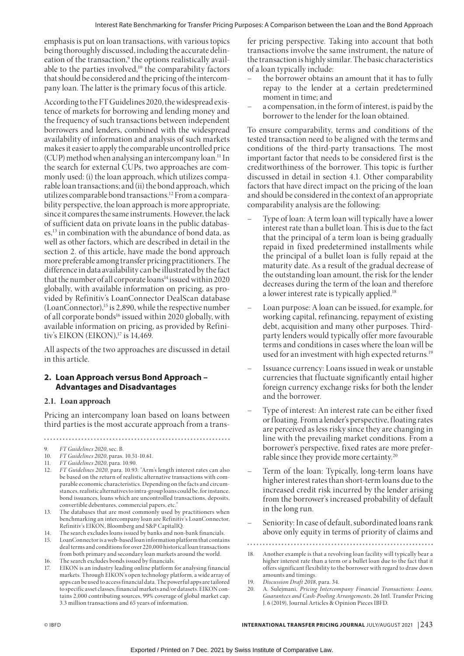emphasis is put on loan transactions, with various topics being thoroughly discussed, including the accurate delineation of the transaction,<sup>9</sup> the options realistically available to the parties involved, $10$  the comparability factors that should be considered and the pricing of the intercompany loan. The latter is the primary focus of this article.

According to the FT Guidelines 2020, the widespread existence of markets for borrowing and lending money and the frequency of such transactions between independent borrowers and lenders, combined with the widespread availability of information and analysis of such markets makes it easier to apply the comparable uncontrolled price  $(CUP)$  method when analysing an intercompany loan.<sup>11</sup> In the search for external CUPs, two approaches are commonly used: (i) the loan approach, which utilizes comparable loan transactions; and (ii) the bond approach, which utilizes comparable bond transactions.12 From a comparability perspective, the loan approach is more appropriate, since it compares the same instruments. However, the lack of sufficient data on private loans in the public databases,13 in combination with the abundance of bond data, as well as other factors, which are described in detail in the section 2. of this article, have made the bond approach more preferable among transfer pricing practitioners. The difference in data availability can be illustrated by the fact that the number of all corporate loans<sup>14</sup> issued within 2020 globally, with available information on pricing, as provided by Refinitiv's LoanConnector DealScan database  $(LoanConnector)$ ,<sup>15</sup> is 2,890, while the respective number of all corporate bonds<sup>16</sup> issued within 2020 globally, with available information on pricing, as provided by Refinitiv's EIKON (EIKON),<sup>17</sup> is 14,469.

All aspects of the two approaches are discussed in detail in this article.

# **2. Loan Approach versus Bond Approach – Advantages and Disadvantages**

### **2.1. Loan approach**

Pricing an intercompany loan based on loans between third parties is the most accurate approach from a trans-

- 12. *FT Guidelines 2020*, para. 10.93: "Arm's length interest rates can also be based on the return of realistic alternative transactions with comparable economic characteristics. Depending on the facts and circumstances, realistic alternatives to intra-group loans could be, for instance, bond issuances, loans which are uncontrolled transactions, deposits, convertible debentures, commercial papers, etc."
- 13. The databases that are most commonly used by practitioners when benchmarking an intercompany loan are Refinitiv's LoanConnector, Refinitiv's EIKON, Bloomberg and S&P CapitalIQ.
- 14. The search excludes loans issued by banks and non-bank financials.
- 15. LoanConnector is a web-based loan information platform that contains deal terms and conditions for over 220,000 historical loan transactions from both primary and secondary loan markets around the world.
- 16. The search excludes bonds issued by financials.
- 17. EIKON is an industry leading online platform for analysing financial markets. Through EIKON's open technology platform, a wide array of apps can be used to access financial data. The powerful apps are tailored to specific asset classes, financial markets and/or datasets. EIKON contains 2,000 contributing sources, 99% coverage of global market cap, 3.3 million transactions and 65 years of information.

fer pricing perspective. Taking into account that both transactions involve the same instrument, the nature of the transaction is highly similar. The basic characteristics of a loan typically include:

- the borrower obtains an amount that it has to fully repay to the lender at a certain predetermined moment in time; and
- a compensation, in the form of interest, is paid by the borrower to the lender for the loan obtained.

To ensure comparability, terms and conditions of the tested transaction need to be aligned with the terms and conditions of the third-party transactions. The most important factor that needs to be considered first is the creditworthiness of the borrower. This topic is further discussed in detail in section 4.1. Other comparability factors that have direct impact on the pricing of the loan and should be considered in the context of an appropriate comparability analysis are the following:

- Type of loan: A term loan will typically have a lower interest rate than a bullet loan. This is due to the fact that the principal of a term loan is being gradually repaid in fixed predetermined installments while the principal of a bullet loan is fully repaid at the maturity date. As a result of the gradual decrease of the outstanding loan amount, the risk for the lender decreases during the term of the loan and therefore a lower interest rate is typically applied.<sup>18</sup>
- Loan purpose: A loan can be issued, for example, for working capital, refinancing, repayment of existing debt, acquisition and many other purposes. Thirdparty lenders would typically offer more favourable terms and conditions in cases where the loan will be used for an investment with high expected returns.<sup>19</sup>
- Issuance currency: Loans issued in weak or unstable currencies that fluctuate significantly entail higher foreign currency exchange risks for both the lender and the borrower.
- Type of interest: An interest rate can be either fixed or floating. From a lender's perspective, floating rates are perceived as less risky since they are changing in line with the prevailing market conditions. From a borrower's perspective, fixed rates are more preferrable since they provide more certainty.<sup>20</sup>
- Term of the loan: Typically, long-term loans have higher interest rates than short-term loans due to the increased credit risk incurred by the lender arising from the borrower's increased probability of default in the long run.
- Seniority: In case of default, subordinated loans rank above only equity in terms of priority of claims and

. . . . . .

<sup>9.</sup> *FT Guidelines 2020*, sec. B.

<sup>10.</sup> *FT Guidelines 2020*, paras. 10.51-10.61.

<sup>11.</sup> *FT Guidelines 2020*, para. 10.90.

<sup>18.</sup> Another example is that a revolving loan facility will typically bear a higher interest rate than a term or a bullet loan due to the fact that it offers significant flexibility to the borrower with regard to draw down amounts and timings.

<sup>19.</sup> *Discussion Draft 2018*, para. 34.

<sup>20.</sup> A. Sulejmani, *Pricing Intercompany Financial Transactions: Loans, Guarantees and Cash-Pooling Arrangements*, 26 Intl. Transfer Pricing J. 6 (2019), Journal Articles & Opinion Pieces IBFD.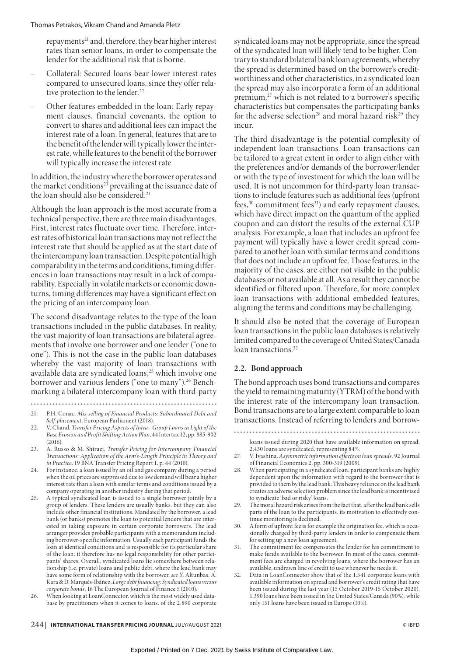repayments<sup>21</sup> and, therefore, they bear higher interest rates than senior loans, in order to compensate the lender for the additional risk that is borne.

- Collateral: Secured loans bear lower interest rates compared to unsecured loans, since they offer relative protection to the lender.<sup>22</sup>
- Other features embedded in the loan: Early repayment clauses, financial covenants, the option to convert to shares and additional fees can impact the interest rate of a loan. In general, features that are to the benefit of the lender will typically lower the interest rate, whille features to the benefit of the borrower will typically increase the interest rate.

In addition, the industry where the borrower operates and the market conditions<sup>23</sup> prevailing at the issuance date of the loan should also be considered.<sup>24</sup>

Although the loan approach is the most accurate from a technical perspective, there are three main disadvantages. First, interest rates fluctuate over time. Therefore, interest rates of historical loan transactions may not reflect the interest rate that should be applied as at the start date of the intercompany loan transaction. Despite potential high comparability in the terms and conditions, timing differences in loan transactions may result in a lack of comparability. Especially in volatile markets or economic downturns, timing differences may have a significant effect on the pricing of an intercompany loan.

The second disadvantage relates to the type of the loan transactions included in the public databases. In reality, the vast majority of loan transactions are bilateral agreements that involve one borrower and one lender ("one to one"). This is not the case in the public loan databases whereby the vast majority of loan transactions with available data are syndicated loans,<sup>25</sup> which involve one borrower and various lenders ("one to many").<sup>26</sup> Benchmarking a bilateral intercompany loan with third-party

......

syndicated loans may not be appropriate, since the spread of the syndicated loan will likely tend to be higher. Contrary to standard bilateral bank loan agreements, whereby the spread is determined based on the borrower's creditworthiness and other characteristics, in a syndicated loan the spread may also incorporate a form of an additional premium,<sup>27</sup> which is not related to a borrower's specific characteristics but compensates the participating banks for the adverse selection<sup>28</sup> and moral hazard risk<sup>29</sup> they incur.

The third disadvantage is the potential complexity of independent loan transactions. Loan transactions can be tailored to a great extent in order to align either with the preferences and/or demands of the borrower/lender or with the type of investment for which the loan will be used. It is not uncommon for third-party loan transactions to include features such as additional fees (upfront fees,<sup>30</sup> commitment fees<sup>31</sup>) and early repayment clauses, which have direct impact on the quantum of the applied coupon and can distort the results of the external CUP analysis. For example, a loan that includes an upfront fee payment will typically have a lower credit spread compared to another loan with similar terms and conditions that does not include an upfront fee. Those features, in the majority of the cases, are either not visible in the public databases or not available at all. As a result they cannot be identified or filtered upon. Therefore, for more complex loan transactions with additional embedded features, aligning the terms and conditions may be challenging.

It should also be noted that the coverage of European loan transactions in the public loan databases is relatively limited compared to the coverage of United States/Canada loan transactions.<sup>32</sup>

# **2.2. Bond approach**

The bond approach uses bond transactions and compares the yield to remaining maturity (YTRM) of the bond with the interest rate of the intercompany loan transaction. Bond transactions are to a large extent comparable to loan transactions. Instead of referring to lenders and borrow-

<sup>21.</sup> P.H. Conac, *Mis-selling of Financial Products: Subordinated Debt and Self-placement*, European Parliament (2018).

<sup>22.</sup> V. Chand, *Transfer Pricing Aspects of Intra - Group Loans in Light of the Base Erosion and Profit Shifting Action Plan*, 44 Intertax 12, pp. 885-902  $(2016)$ 

<sup>23.</sup> A. Russo & M. Shirazi, *Transfer Pricing for Intercompany Financial Transactions: Application of the Arm's-Length Principle in Theory and in Practice*, 19 BNA Transfer Pricing Report 1, p. 44 (2010).

<sup>24.</sup> For instance, a loan issued by an oil and gas company during a period when the oil prices are suppressed due to low demand will bear a higher interest rate than a loan with similar terms and conditions issued by a company operating in another industry during that period.

<sup>25.</sup> A typical syndicated loan is issued to a single borrower jointly by a group of lenders. These lenders are usually banks, but they can also include other financial institutions. Mandated by the borrower, a lead bank (or banks) promotes the loan to potential lenders that are interested in taking exposure in certain corporate borrowers. The lead arranger provides probable participants with a memorandum including borrower-specific information. Usually each participant funds the loan at identical conditions and is responsible for its particular share of the loan; it therefore has no legal responsibility for other participants' shares. Overall, syndicated loans lie somewhere between relationship (i.e. private) loans and public debt, where the lead bank may have some form of relationship with the borrower, *see Y*. Altunbas, A. Kara & D. Marqués-Ibáñez, *Large debt financing: Syndicated loans versus corporate bonds*, 16 The European Journal of Finance 5 (2010).

<sup>26.</sup> When looking at LoanConnector, which is the most widely used database by practitioners when it comes to loans, of the 2,890 corporate

loans issued during 2020 that have available information on spread, 2,430 loans are syndicated, representing 84%.

<sup>27.</sup> V. Ivashina, *Asymmetric information effects on loan spreads,* 92 Journal of Financial Economics 2, pp. 300-319 (2009).

When participating in a syndicated loan, participant banks are highly dependent upon the information with regard to the borrower that is provided to them by the lead bank. This heavy reliance on the lead bank creates an adverse selection problem since the lead bank is incentivized to syndicate 'bad or risky' loans.

<sup>29.</sup> The moral hazard risk arises from the fact that, after the lead bank sells parts of the loan to the participants, its motivation to effectively continue monitoring is declined.

<sup>30.</sup> A form of upfront fee is for example the origination fee, which is occasionally charged by third-party lenders in order to compensate them for setting up a new loan agreement.

<sup>31.</sup> The commitment fee compensates the lender for his commitment to make funds available to the borrower. In most of the cases, commitment fees are charged in revolving loans, where the borrower has an available, undrawn line of credit to use whenever he needs it.

Data in LoanConnector show that of the 1,541 corporate loans with available information on spread and borrower's credit rating that have been issued during the last year (15 October 2019-15 October 2020), 1,390 loans have been issued in the United States/Canada (90%), while only 151 loans have been issued in Europe (10%).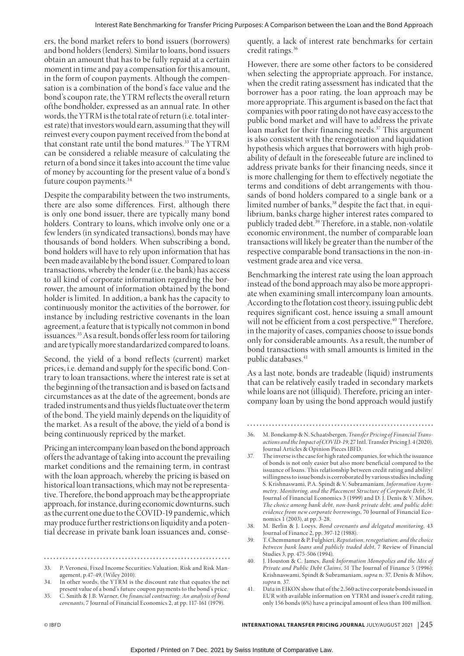ers, the bond market refers to bond issuers (borrowers) and bond holders (lenders). Similar to loans, bond issuers obtain an amount that has to be fully repaid at a certain moment in time and pay a compensation for this amount, in the form of coupon payments. Although the compensation is a combination of the bond's face value and the bond's coupon rate, the YTRM reflects the overall return ofthe bondholder, expressed as an annual rate. In other words, the YTRM is the total rate of return (i.e. total interest rate) that investors would earn, assuming that they will reinvest every coupon payment received from the bond at that constant rate until the bond matures.<sup>33</sup> The YTRM can be considered a reliable measure of calculating the return of a bond since it takes into account the time value of money by accounting for the present value of a bond's future coupon payments.<sup>34</sup>

Despite the comparability between the two instruments, there are also some differences. First, although there is only one bond issuer, there are typically many bond holders. Contrary to loans, which involve only one or a few lenders (in syndicated transactions), bonds may have thousands of bond holders. When subscribing a bond, bond holders will have to rely upon information that has been made available by the bond issuer. Compared to loan transactions, whereby the lender (i.e. the bank) has access to all kind of corporate information regarding the borrower, the amount of information obtained by the bond holder is limited. In addition, a bank has the capacity to continuously monitor the activities of the borrower, for instance by including restrictive covenants in the loan agreement, a feature that is typically not common in bond issuances.35 As a result, bonds offer less room for tailoring and are typically more standardarized compared to loans.

Second, the yield of a bond reflects (current) market prices, i.e. demand and supply for the specific bond. Contrary to loan transactions, where the interest rate is set at the beginning of the transaction and is based on facts and circumstances as at the date of the agreement, bonds are traded instruments and thus yields fluctuate over the term of the bond. The yield mainly depends on the liquidity of the market. As a result of the above, the yield of a bond is being continuously repriced by the market.

Pricing an intercompany loan based on the bond approach offers the advantage of taking into account the prevailing market conditions and the remaining term, in contrast with the loan approach, whereby the pricing is based on historical loan transactions, which may not be representative. Therefore, the bond approach may be the appropriate approach, for instance, during economic downturns, such as the current one due to the COVID-19 pandemic, which may produce further restrictions on liquidity and a potential decrease in private bank loan issuances and, conse-

quently, a lack of interest rate benchmarks for certain credit ratings.36

However, there are some other factors to be considered when selecting the appropriate approach. For instance, when the credit rating assessment has indicated that the borrower has a poor rating, the loan approach may be more appropriate. This argument is based on the fact that companies with poor rating do not have easy access to the public bond market and will have to address the private loan market for their financing needs.<sup>37</sup> This argument is also consistent with the renegotiation and liquidation hypothesis which argues that borrowers with high probability of default in the foreseeable future are inclined to address private banks for their financing needs, since it is more challenging for them to effectively negotiate the terms and conditions of debt arrangements with thousands of bond holders compared to a single bank or a limited number of banks,<sup>38</sup> despite the fact that, in equilibrium, banks charge higher interest rates compared to publicly traded debt.<sup>39</sup> Therefore, in a stable, non-volatile economic environment, the number of comparable loan transactions will likely be greater than the number of the respective comparable bond transactions in the non-investment grade area and vice versa.

Benchmarking the interest rate using the loan approach instead of the bond approach may also be more appropriate when examining small intercompany loan amounts. According to the flotation cost theory, issuing public debt requires significant cost, hence issuing a small amount will not be efficient from a cost perspective.<sup>40</sup> Therefore, in the majority of cases, companies choose to issue bonds only for considerable amounts. As a result, the number of bond transactions with small amounts is limited in the public databases.<sup>41</sup>

As a last note, bonds are tradeable (liquid) instruments that can be relatively easily traded in secondary markets while loans are not (illiquid). Therefore, pricing an intercompany loan by using the bond approach would justify

- 38. M. Berlin & J. Loeys, *Bond covenants and delegated monitoring,* 43 Journal of Finance 2, pp. 397-12 (1988).
- 39. T. Chemmanur & P. Fulghieri, *Reputation, renegotiation, and the choice between bank loans and publicly traded debt*, 7 Review of Financial Studies 3, pp. 475-506 (1994).
- 40. J. Houston & C. James, *Bank Information Monopolies and the Mix of Private and Public Debt Claims*, 51 The Journal of Finance 5 (1996); Krishnaswami, Spindt & Subramaniam, *supra* n. 37, Denis & Mihov, *supra* n. 37.
- 41. Data in EIKON show that of the 2,560 active corporate bonds issued in EUR with available information on YTRM and issuer's credit rating, only 156 bonds (6%) have a principal amount of less than 100 million.

<sup>33.</sup> P. Veronesi, Fixed Income Securities: Valuation, Risk and Risk Management, p.47-49, (Wiley 2010).

<sup>34.</sup> In other words, the YTRM is the discount rate that equates the net present value of a bond's future coupon payments to the bond's price.

<sup>35.</sup> C. Smith & J.B. Warner, *On financial contracting: An analysis of bond covenants*, 7 Journal of Financial Economics 2, at pp. 117-161 (1979).

<sup>36.</sup> M. Bonekamp & N. Schaatsbergen, *Transfer Pricing of Financial Transactions and the Impact of COVID-19*, 27 Intl. Transfer Pricing J. 4 (2020), Journal Articles & Opinion Pieces IBFD.

<sup>37.</sup> The inverse is the case for high rated companies, for which the issuance of bonds is not only easier but also more beneficial compared to the issuance of loans. This relationship between credit rating and ability/ willingness to issue bonds is corroborated by various studies including S. Krishnaswami, P.A. Spindt & V. Subramaniam, *Information Asymmetry, Monitoring, and the Placement Structure of Corporate Debt*, 51 Journal of Financial Economics 3 (1999) and D. J. Denis & V. Mihov, *The choice among bank debt, non-bank private debt, and public debt: evidence from new corporate borrowings*, 70 Journal of Financial Economics 1 (2003), at pp. 3-28.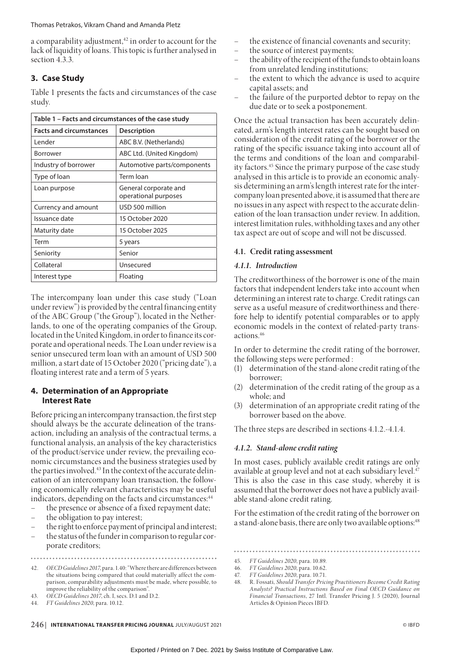a comparability adjustment,<sup>42</sup> in order to account for the lack of liquidity of loans. This topic is further analysed in section 4.3.3.

# **3. Case Study**

Table 1 presents the facts and circumstances of the case study.

| Table 1 - Facts and circumstances of the case study |                                               |
|-----------------------------------------------------|-----------------------------------------------|
| <b>Facts and circumstances</b>                      | <b>Description</b>                            |
| Lender                                              | ABC B.V. (Netherlands)                        |
| Borrower                                            | ABC Ltd. (United Kingdom)                     |
| Industry of borrower                                | Automotive parts/components                   |
| Type of loan                                        | Term Ioan                                     |
| Loan purpose                                        | General corporate and<br>operational purposes |
| Currency and amount                                 | USD 500 million                               |
| Issuance date                                       | 15 October 2020                               |
| Maturity date                                       | 15 October 2025                               |
| Term                                                | 5 years                                       |
| Seniority                                           | Senior                                        |
| Collateral                                          | Unsecured                                     |
| Interest type                                       | Floating                                      |

The intercompany loan under this case study ("Loan under review") is provided by the central financing entity of the ABC Group ("the Group"), located in the Netherlands, to one of the operating companies of the Group, located in the United Kingdom, in order to finance its corporate and operational needs. The Loan under review is a senior unsecured term loan with an amount of USD 500 million, a start date of 15 October 2020 ("pricing date"), a floating interest rate and a term of 5 years.

# **4. Determination of an Appropriate Interest Rate**

Before pricing an intercompany transaction, the first step should always be the accurate delineation of the transaction, including an analysis of the contractual terms, a functional analysis, an analysis of the key characteristics of the product/service under review, the prevailing economic circumstances and the business strategies used by the parties involved.<sup>43</sup> In the context of the accurate delineation of an intercompany loan transaction, the following economically relevant characteristics may be useful indicators, depending on the facts and circumstances:<sup>44</sup>

- the presence or absence of a fixed repayment date;
- the obligation to pay interest;
- the right to enforce payment of principal and interest;
- the status of the funder in comparison to regular corporate creditors;

43. *OECD Guidelines 2017*, ch. I, secs. D.1 and D.2.

- the existence of financial covenants and security;
- the source of interest payments;
- the ability of the recipient of the funds to obtain loans from unrelated lending institutions;
- the extent to which the advance is used to acquire capital assets; and
- the failure of the purported debtor to repay on the due date or to seek a postponement.

Once the actual transaction has been accurately delineated, arm's length interest rates can be sought based on consideration of the credit rating of the borrower or the rating of the specific issuance taking into account all of the terms and conditions of the loan and comparability factors.45 Since the primary purpose of the case study analysed in this article is to provide an economic analysis determining an arm's length interest rate for the intercompany loan presented above, it is assumed that there are no issues in any aspect with respect to the accurate delineation of the loan transaction under review. In addition, interest limitation rules, withholding taxes and any other tax aspect are out of scope and will not be discussed.

# **4.1. Credit rating assessment**

# *4.1.1. Introduction*

The creditworthiness of the borrower is one of the main factors that independent lenders take into account when determining an interest rate to charge. Credit ratings can serve as a useful measure of creditworthiness and therefore help to identify potential comparables or to apply economic models in the context of related-party transactions.46

In order to determine the credit rating of the borrower, the following steps were performed :

- (1) determination of the stand-alone credit rating of the borrower;
- (2) determination of the credit rating of the group as a whole; and
- (3) determination of an appropriate credit rating of the borrower based on the above.

The three steps are described in sections 4.1.2.-4.1.4.

# *4.1.2. Stand-alone credit rating*

In most cases, publicly available credit ratings are only available at group level and not at each subsidiary level.<sup>47</sup> This is also the case in this case study, whereby it is assumed that the borrower does not have a publicly available stand-alone credit rating.

For the estimation of the credit rating of the borrower on a stand-alone basis, there are only two available options:<sup>48</sup>

46. *FT Guidelines 2020*, para. 10.62.

<sup>42.</sup> *OECD Guidelines 2017*, para. 1.40: "Where there are differences between the situations being compared that could materially affect the comparison, comparability adjustments must be made, where possible, to improve the reliability of the comparison".

<sup>44.</sup> *FT Guidelines 2020*, para. 10.12.

<sup>45.</sup> *FT Guidelines 2020*, para. 10.89.

<sup>47.</sup> *FT Guidelines 2020*, para. 10.71.

<sup>48.</sup> R. Fossati, *Should Transfer Pricing Practitioners Become Credit Rating Analysts? Practical Instructions Based on Final OECD Guidance on Financial Transactions*, 27 Intl. Transfer Pricing J. 5 (2020), Journal Articles & Opinion Pieces IBFD.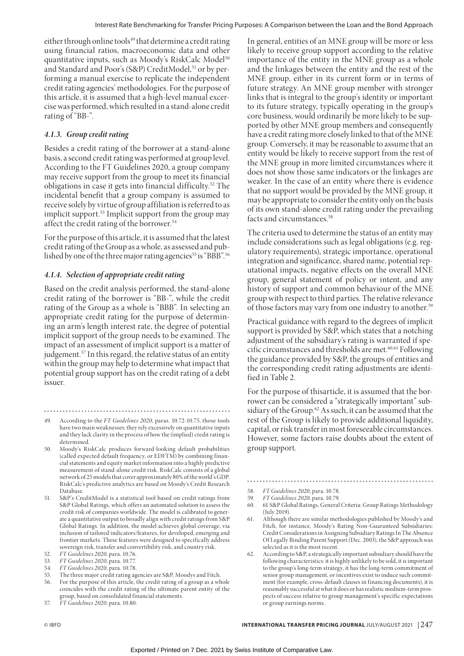either through online tools<sup>49</sup> that determine a credit rating using financial ratios, macroeconomic data and other quantitative inputs, such as Moody's RiskCalc Model<sup>50</sup> and Standard and Poor's (S&P) CreditModel,<sup>51</sup> or by performing a manual exercise to replicate the independent credit rating agencies' methodologies. For the purpose of this article, it is assumed that a high-level manual excercise was performed, which resulted in a stand-alone credit rating of "BB-".

# *4.1.3. Group credit rating*

Besides a credit rating of the borrower at a stand-alone basis, a second credit rating was performed at group level. According to the FT Guidelines 2020, a group company may receive support from the group to meet its financial obligations in case it gets into financial difficulty.52 The incidental benefit that a group company is assumed to receive solely by virtue of group affiliation is referred to as implicit support.53 Implicit support from the group may affect the credit rating of the borrower.<sup>54</sup>

For the purpose of this article, it is assumed that the latest credit rating of the Group as a whole, as assessed and published by one of the three major rating agencies<sup>55</sup> is "BBB".<sup>56</sup>

# *4.1.4. Selection of appropriate credit rating*

Based on the credit analysis performed, the stand-alone credit rating of the borrower is "BB-", while the credit rating of the Group as a whole is "BBB". In selecting an appropriate credit rating for the purpose of determining an arm's length interest rate, the degree of potential implicit support of the group needs to be examined. The impact of an assessment of implicit support is a matter of judgement.<sup>57</sup> In this regard, the relative status of an entity within the group may help to determine what impact that potential group support has on the credit rating of a debt issuer.

57. *FT Guidelines 2020*, para. 10.80.

In general, entities of an MNE group will be more or less likely to receive group support according to the relative importance of the entity in the MNE group as a whole and the linkages between the entity and the rest of the MNE group, either in its current form or in terms of future strategy. An MNE group member with stronger links that is integral to the group's identity or important to its future strategy, typically operating in the group's core business, would ordinarily be more likely to be supported by other MNE group members and consequently have a credit rating more closely linked to that of the MNE group. Conversely, it may be reasonable to assume that an entity would be likely to receive support from the rest of the MNE group in more limited circumstances where it does not show those same indicators or the linkages are weaker. In the case of an entity where there is evidence that no support would be provided by the MNE group, it may be appropriate to consider the entity only on the basis of its own stand-alone credit rating under the prevailing facts and circumstances.<sup>58</sup>

The criteria used to determine the status of an entity may include considerations such as legal obligations (e.g. regulatory requirements), strategic importance, operational integration and significance, shared name, potential reputational impacts, negative effects on the overall MNE group, general statement of policy or intent, and any history of support and common behaviour of the MNE group with respect to third parties. The relative relevance of those factors may vary from one industry to another.59

Practical guidance with regard to the degrees of implicit support is provided by S&P, which states that a notching adjustment of the subsidiary's rating is warranted if specific circumstances and thresholds are met.60,61 Following the guidance provided by S&P, the groups of entities and the corresponding credit rating adjustments are identified in Table 2.

For the purpose of thisarticle, it is assumed that the borrower can be considered a "strategically important" subsidiary of the Group.<sup>62</sup> As such, it can be assumed that the rest of the Group is likely to provide additional liquidity, capital, or risk transfer in most foreseeable circumstances. However, some factors raise doubts about the extent of group support.

58. *FT Guidelines 2020*, para. 10.78.

- 59. *FT Guidelines 2020*, para. 10.79.
- 60. 61 S&P Global Ratings, General Criteria: Group Ratings Methodology (July 2019).

- 61. Although there are similar methodologies published by Moody's and Fitch, for instance, Moody's Rating Non-Guaranteed Subsidiaries: Credit Considerations in Assigning Subsidiary Ratings In The Absence Of Legally Binding Parent Support (Dec. 2003), the S&P approach was selected as it is the most recent.
- 62. According to S&P, a strategically important subsidiary should have the following characteristics: it is highly unlikely to be sold, it is important to the group's long-term strategy, it has the long-term commitment of senior group management, or incentives exist to induce such commitment (for example, cross-default clauses in financing documents), it is reasonably successful at what it does or has realistic medium-term prospects of success relative to group management's specific expectations or group earnings norms.

<sup>49.</sup> According to the *FT Guidelines 2020*, paras. 10.72-10.75, those tools have two main weaknesses: they rely excessively on quantitative inputs and they lack clarity in the process of how the (implied) credit rating is determined.

<sup>50.</sup> Moody's RiskCalc produces forward-looking default probabilities (called expected default frequency, or EDFTM) by combining financial statements and equity market information into a highly predictive measurement of stand-alone credit risk. RiskCalc consists of a global network of 25 models that cover approximately 80% of the world's GDP. RiskCalc's predictive analytics are based on Moody's Credit Research Database.

<sup>51.</sup> S&P's CreditModel is a statistical tool based on credit ratings from S&P Global Ratings, which offers an automated solution to assess the credit risk of companies worldwide. The model is calibrated to generate a quantitative output to broadly align with credit ratings from S&P Global Ratings. In addition, the model achieves global coverage, via inclusion of tailored indicators/features, for developed, emerging and frontier markets. These features were designed to specifically address sovereign risk, transfer and convertibility risk, and country risk.

<sup>52.</sup> *FT Guidelines 2020*, para. 10.76.

<sup>53.</sup> *FT Guidelines 2020*, para. 10.77. 54. *FT Guidelines 2020*, para. 10.78.

<sup>55.</sup> The three major credit rating agencies are S&P, Moodys and Fitch.

<sup>56.</sup> For the purpose of this article, the credit rating of a group as a whole

coincides with the credit rating of the ultimate parent entity of the group, based on consolidated financial statements.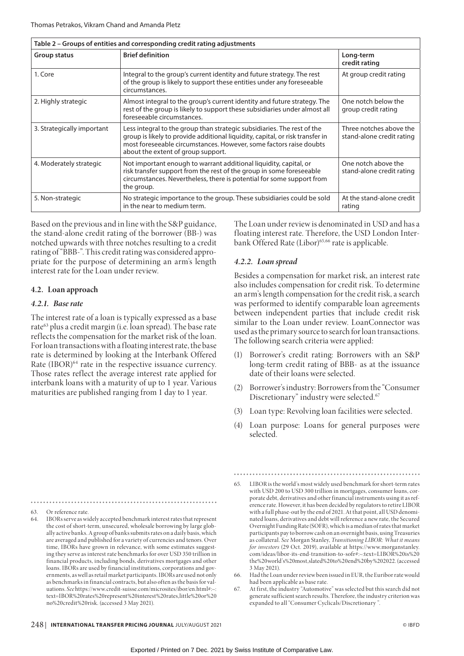|                            | Table 2 - Groups of entities and corresponding credit rating adjustments                                                                                                                                                                                             |                                                      |
|----------------------------|----------------------------------------------------------------------------------------------------------------------------------------------------------------------------------------------------------------------------------------------------------------------|------------------------------------------------------|
| Group status               | <b>Brief definition</b>                                                                                                                                                                                                                                              | Long-term<br>credit rating                           |
| 1. Core                    | Integral to the group's current identity and future strategy. The rest<br>of the group is likely to support these entities under any foreseeable<br>circumstances.                                                                                                   | At group credit rating                               |
| 2. Highly strategic        | Almost integral to the group's current identity and future strategy. The<br>rest of the group is likely to support these subsidiaries under almost all<br>foreseeable circumstances.                                                                                 | One notch below the<br>group credit rating           |
| 3. Strategically important | Less integral to the group than strategic subsidiaries. The rest of the<br>group is likely to provide additional liquidity, capital, or risk transfer in<br>most foreseeable circumstances. However, some factors raise doubts<br>about the extent of group support. | Three notches above the<br>stand-alone credit rating |
| 4. Moderately strategic    | Not important enough to warrant additional liquidity, capital, or<br>risk transfer support from the rest of the group in some foreseeable<br>circumstances. Nevertheless, there is potential for some support from<br>the group.                                     | One notch above the<br>stand-alone credit rating     |
| 5. Non-strategic           | No strategic importance to the group. These subsidiaries could be sold<br>in the near to medium term.                                                                                                                                                                | At the stand-alone credit<br>rating                  |

Based on the previous and in line with the S&P guidance, the stand-alone credit rating of the borrower (BB-) was notched upwards with three notches resulting to a credit rating of "BBB-". This credit rating was considered appropriate for the purpose of determining an arm's length interest rate for the Loan under review.

# **4.2. Loan approach**

### *4.2.1. Base rate*

The interest rate of a loan is typically expressed as a base rate<sup>63</sup> plus a credit margin (i.e. loan spread). The base rate reflects the compensation for the market risk of the loan. For loan transactions with a floating interest rate, the base rate is determined by looking at the Interbank Offered Rate (IBOR)<sup>64</sup> rate in the respective issuance currency. Those rates reflect the average interest rate applied for interbank loans with a maturity of up to 1 year. Various maturities are published ranging from 1 day to 1 year.

The Loan under review is denominated in USD and has a floating interest rate. Therefore, the USD London Interbank Offered Rate (Libor)<sup>65,66</sup> rate is applicable.

# *4.2.2. Loan spread*

Besides a compensation for market risk, an interest rate also includes compensation for credit risk. To determine an arm's length compensation for the credit risk, a search was performed to identify comparable loan agreements between independent parties that include credit risk similar to the Loan under review. LoanConnector was used as the primary source to search for loan transactions. The following search criteria were applied:

- (1) Borrower's credit rating: Borrowers with an S&P long-term credit rating of BBB- as at the issuance date of their loans were selected.
- (2) Borrower's industry: Borrowers from the "Consumer Discretionary" industry were selected.67
- (3) Loan type: Revolving loan facilities were selected.
- (4) Loan purpose: Loans for general purposes were selected.

64. IBORs serve as widely accepted benchmark interest rates that represent the cost of short-term, unsecured, wholesale borrowing by large globally active banks. A group of banks submits rates on a daily basis, which are averaged and published for a variety of currencies and tenors. Over time, IBORs have grown in relevance, with some estimates suggesting they serve as interest rate benchmarks for over USD 350 trillion in financial products, including bonds, derivatives mortgages and other loans. IBORs are used by financial institutions, corporations and governments, as well as retail market participants. IBORs are used not only as benchmarks in financial contracts, but also often as the basis for valuations. See https://www.credit-suisse.com/microsites/ibor/en.html#:~: text=IBOR%20rates%20represent%20interest%20rates,little%20or%20 no%20credit%20risk. (accessed 3 May 2021).

<sup>63.</sup> Or reference rate.

<sup>65.</sup> LIBOR is the world's most widely used benchmark for short-term rates with USD 200 to USD 300 trillion in mortgages, consumer loans, corporate debt, derivatives and other financial instruments using it as reference rate. However, it has been decided by regulators to retire LIBOR with a full phase-out by the end of 2021. At that point, all USD denominated loans, derivatives and debt will reference a new rate, the Secured Overnight Funding Rate (SOFR), which is a median of rates that market participants pay to borrow cash on an overnight basis, using Treasuries as collateral. *See* Morgan Stanley, *Transitioning LIBOR: What it means for investors* (29 Oct. 2019), available at https://www.morganstanley. com/ideas/libor-its-end-transition-to-sofr#:~:text=LIBOR%20is%20 the%20world's%20most,slated%20to%20end%20by%202022. (accessed 3 May 2021).

<sup>66.</sup> Had the Loan under review been issued in EUR, the Euribor rate would had been applicable as base rate.

<sup>67.</sup> At first, the industry "Automotive" was selected but this search did not generate sufficient search results. Therefore, the industry criterion was expanded to all "Consumer Cyclicals/Discretionary ".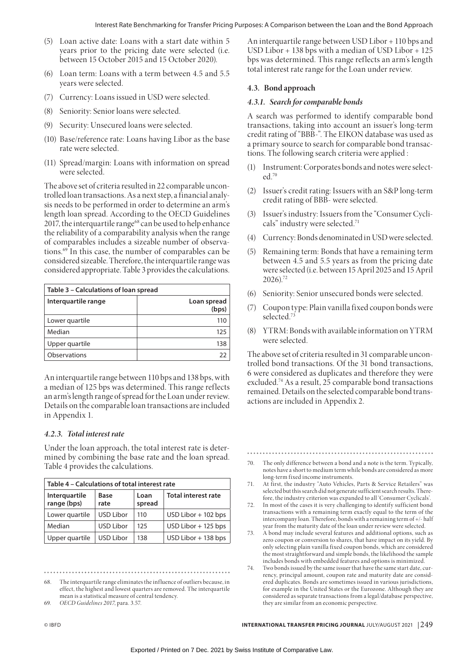- (5) Loan active date: Loans with a start date within 5 years prior to the pricing date were selected (i.e. between 15 October 2015 and 15 October 2020).
- (6) Loan term: Loans with a term between 4.5 and 5.5 years were selected.
- (7) Currency: Loans issued in USD were selected.
- (8) Seniority: Senior loans were selected.
- (9) Security: Unsecured loans were selected.
- (10) Base/reference rate: Loans having Libor as the base rate were selected.
- (11) Spread/margin: Loans with information on spread were selected.

The above set of criteria resulted in 22 comparable uncontrolled loan transactions. As a next step, a financial analysis needs to be performed in order to determine an arm's length loan spread. According to the OECD Guidelines 2017, the interquartile range $68$  can be used to help enhance the reliability of a comparability analysis when the range of comparables includes a sizeable number of observations.69 In this case, the number of comparables can be considered sizeable. Therefore, the interquartile range was considered appropriate. Table 3 provides the calculations.

| Table 3 - Calculations of loan spread |                      |
|---------------------------------------|----------------------|
| Interguartile range                   | Loan spread<br>(bps) |
| Lower quartile                        | 110                  |
| Median                                | 125                  |
| Upper quartile                        | 138                  |
| Observations                          | 77                   |

An interquartile range between 110 bps and 138 bps, with a median of 125 bps was determined. This range reflects an arm's length range of spread for the Loan under review. Details on the comparable loan transactions are included in Appendix 1.

# *4.2.3. Total interest rate*

Under the loan approach, the total interest rate is determined by combining the base rate and the loan spread. Table 4 provides the calculations.

| Table 4 – Calculations of total interest rate |                  |                |                            |
|-----------------------------------------------|------------------|----------------|----------------------------|
| Interquartile<br>range (bps)                  | Base<br>rate     | Loan<br>spread | <b>Total interest rate</b> |
| Lower quartile                                | <b>USD Libor</b> | 110            | $USD$ Libor $+$ 102 bps    |
| Median                                        | USD Libor        | 125            | $USD$ Libor + 125 bps      |
| Upper quartile                                | USD Libor        | 138            | $USD$ Libor $+$ 138 bps    |

69. *OECD Guidelines 2017*, para. 3.57.

An interquartile range between USD Libor + 110 bps and USD Libor + 138 bps with a median of USD Libor + 125 bps was determined. This range reflects an arm's length total interest rate range for the Loan under review.

# **4.3. Bond approach**

# *4.3.1. Search for comparable bonds*

A search was performed to identify comparable bond transactions, taking into account an issuer's long-term credit rating of "BBB-". The EIKON database was used as a primary source to search for comparable bond transactions. The following search criteria were applied :

- (1) Instrument: Corporates bonds and notes were selected.70
- (2) Issuer's credit rating: Issuers with an S&P long-term credit rating of BBB- were selected.
- (3) Issuer's industry: Issuers from the "Consumer Cyclicals" industry were selected.<sup>71</sup>
- (4) Currency: Bonds denominated in USD were selected.
- (5) Remaining term: Bonds that have a remaining term between 4.5 and 5.5 years as from the pricing date were selected (i.e. between 15 April 2025 and 15 April  $2026$ ).<sup>72</sup>
- (6) Seniority: Senior unsecured bonds were selected.
- (7) Coupon type: Plain vanilla fixed coupon bonds were selected.73
- (8) YTRM: Bonds with available information on YTRM were selected.

The above set of criteria resulted in 31 comparable uncontrolled bond transactions. Of the 31 bond transactions, 6 were considered as duplicates and therefore they were excluded.74 As a result, 25 comparable bond transactions remained. Details on the selected comparable bond transactions are included in Appendix 2.

- 70. The only difference between a bond and a note is the term. Typically, notes have a short to medium term while bonds are considered as more long-term fixed income instruments.
- 71. At first, the industry "Auto Vehicles, Parts & Service Retailers" was selected but this search did not generate sufficient search results. Therefore, the industry criterion was expanded to all 'Consumer Cyclicals'.
- 72. In most of the cases it is very challenging to identify sufficient bond transactions with a remaining term exactly equal to the term of the intercompany loan. Therefore, bonds with a remaining term of +/- half year from the maturity date of the loan under review were selected.
- 73. A bond may include several features and additional options, such as zero coupon or conversion to shares, that have impact on its yield. By only selecting plain vanilla fixed coupon bonds, which are considered the most straightforward and simple bonds, the likelihood the sample includes bonds with embedded features and options is minimized.
- 74. Two bonds issued by the same issuer that have the same start date, currency, principal amount, coupon rate and maturity date are considered duplicates. Bonds are sometimes issued in various jurisdictions, for example in the United States or the Eurozone. Although they are considered as separate transactions from a legal/database perspective, they are similar from an economic perspective.

<sup>68.</sup> The interquartile range eliminates the inf luence of outliers because, in effect, the highest and lowest quarters are removed. The interquartile mean is a statistical measure of central tendency.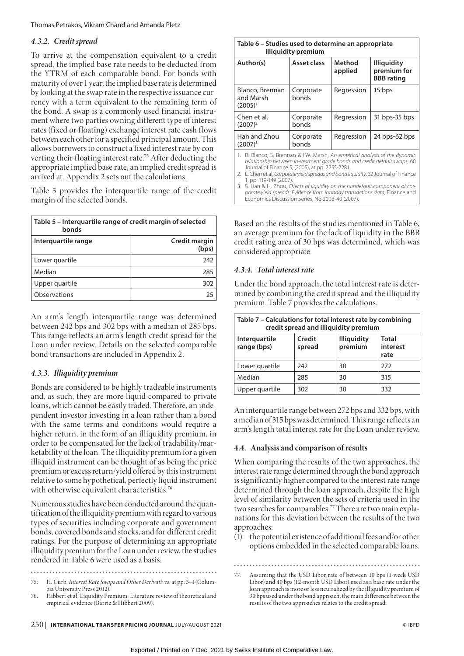#### Thomas Petrakos, Vikram Chand and Amanda Pletz

# *4.3.2. Credit spread*

To arrive at the compensation equivalent to a credit spread, the implied base rate needs to be deducted from the YTRM of each comparable bond. For bonds with maturity of over 1 year, the implied base rate is determined by looking at the swap rate in the respective issuance currency with a term equivalent to the remaining term of the bond. A swap is a commonly used financial instrument where two parties owning different type of interest rates (fixed or floating) exchange interest rate cash flows between each other for a specified principal amount. This allows borrowers to construct a fixed interest rate by converting their floating interest rate.75 After deducting the appropriate implied base rate, an implied credit spread is arrived at. Appendix 2 sets out the calculations.

Table 5 provides the interquartile range of the credit margin of the selected bonds.

| Table 5 – Interguartile range of credit margin of selected<br>bonds |                        |
|---------------------------------------------------------------------|------------------------|
| Interguartile range                                                 | Credit margin<br>(bps) |
| Lower quartile                                                      | 242                    |
| Median                                                              | 285                    |
| Upper quartile                                                      | 302                    |
| Observations                                                        | 25                     |

An arm's length interquartile range was determined between 242 bps and 302 bps with a median of 285 bps. This range reflects an arm's length credit spread for the Loan under review. Details on the selected comparable bond transactions are included in Appendix 2.

# *4.3.3. Illiquidity premium*

Bonds are considered to be highly tradeable instruments and, as such, they are more liquid compared to private loans, which cannot be easily traded. Therefore, an independent investor investing in a loan rather than a bond with the same terms and conditions would require a higher return, in the form of an illiquidity premium, in order to be compensated for the lack of tradability/marketability of the loan. The illiquidity premium for a given illiquid instrument can be thought of as being the price premium or excess return/yield offered by this instrument relative to some hypothetical, perfectly liquid instrument with otherwise equivalent characteristics.<sup>76</sup>

Numerous studies have been conducted around the quantification of the illiquidity premium with regard to various types of securities including corporate and government bonds, covered bonds and stocks, and for different credit ratings. For the purpose of determining an appropriate illiquidity premium for the Loan under review, the studies rendered in Table 6 were used as a basis.

- 75. H. Curb, *Interest Rate Swaps and Other Derivatives*, at pp. 3-4 (Colum-
- bia University Press 2012). 76. Hibbert et al, Liquidity Premium: Literature review of theoretical and empirical evidence (Barrie & Hibbert 2009).

| Table 6 – Studies used to determine an appropriate                          | illiquidity premium |                   |                                                                           |
|-----------------------------------------------------------------------------|---------------------|-------------------|---------------------------------------------------------------------------|
| Author(s)                                                                   | Asset class         | Method<br>applied | <b>Illiguidity</b><br>premium for<br><b>BBB</b> rating                    |
| Blanco, Brennan<br>and Marsh<br>$(2005)^{1}$                                | Corporate<br>bonds  | Regression        | 15 bps                                                                    |
| Chen et al.<br>$(2007)^2$                                                   | Corporate<br>bonds  | Regression        | 31 bps-35 bps                                                             |
| Han and Zhou<br>(2007) <sup>3</sup>                                         | Corporate<br>bonds  | Regression        | 24 bps-62 bps                                                             |
| 1. R. Blanco, S. Brennan & I.W. Marsh, An empirical analysis of the dynamic |                     |                   | relationship between in-vestment arade bonds and credit default swaps. 60 |

*relationship between in-vestment grade bonds and credit default swaps*, 60 Journal of Finance 5, (2005), at pp. 2255-2281. 2. L. Chen et al, *Corporate yield spreads and bond liquidity*, 62 Journal of Finance

1, pp. 119-149 (2007). 3. S. Han & H. Zhou, *Effects of liquidity on the nondefault component of corporate yield spreads: Evidence from intraday transactions data*, Finance and Economics Discussion Series, No 2008-40 (2007).

Based on the results of the studies mentioned in Table 6, an average premium for the lack of liquidity in the BBB credit rating area of 30 bps was determined, which was considered appropriate.

# *4.3.4. Total interest rate*

Under the bond approach, the total interest rate is determined by combining the credit spread and the illiquidity premium. Table 7 provides the calculations.

| Table 7 – Calculations for total interest rate by combining | credit spread and illiquidity premium |                               |                                  |
|-------------------------------------------------------------|---------------------------------------|-------------------------------|----------------------------------|
| Interquartile<br>range (bps)                                | Credit<br>spread                      | <b>Illiquidity</b><br>premium | <b>Total</b><br>interest<br>rate |
| Lower quartile                                              | 242                                   | 30                            | 272                              |
| Median                                                      | 285                                   | 30                            | 315                              |
| Upper quartile                                              | 302                                   | 30                            | 332                              |

An interquartile range between 272 bps and 332 bps, with a median of 315 bps was determined. This range reflects an arm's length total interest rate for the Loan under review.

### **4.4. Analysis and comparison of results**

When comparing the results of the two approaches, the interest rate range determined through the bond approach is significantly higher compared to the interest rate range determined through the loan approach, despite the high level of similarity between the sets of criteria used in the two searches for comparables.77 There are two main explanations for this deviation between the results of the two approaches:

(1) the potential existence of additional fees and/or other options embedded in the selected comparable loans.

Assuming that the USD Libor rate of between 10 bps (1-week USD Libor) and 40 bps (12-month USD Libor) used as a base rate under the loan approach is more or less neutralized by the illiquidity premium of 30 bps used under the bond approach, the main difference between the results of the two approaches relates to the credit spread.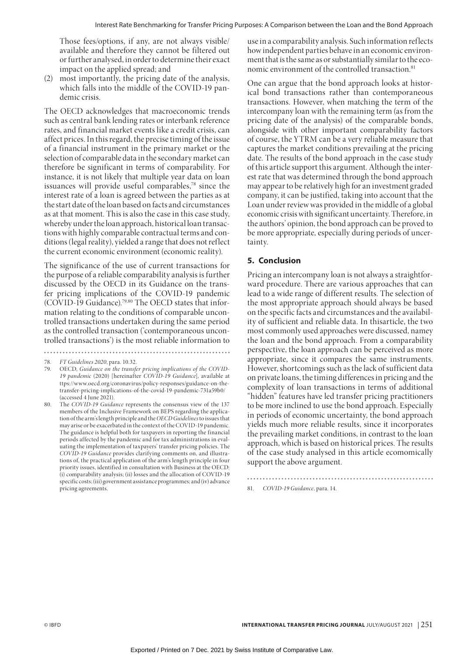Those fees/options, if any, are not always visible/ available and therefore they cannot be filtered out or further analysed, in order to determine their exact impact on the applied spread; and

(2) most importantly, the pricing date of the analysis, which falls into the middle of the COVID-19 pandemic crisis.

The OECD acknowledges that macroeconomic trends such as central bank lending rates or interbank reference rates, and financial market events like a credit crisis, can affect prices. In this regard, the precise timing of the issue of a financial instrument in the primary market or the selection of comparable data in the secondary market can therefore be significant in terms of comparability. For instance, it is not likely that multiple year data on loan issuances will provide useful comparables,<sup>78</sup> since the interest rate of a loan is agreed between the parties as at the start date of the loan based on facts and circumstances as at that moment. This is also the case in this case study, whereby under the loan approach, historical loan transactions with highly comparable contractual terms and conditions (legal reality), yielded a range that does not reflect the current economic environment (economic reality).

The significance of the use of current transactions for the purpose of a reliable comparability analysis is further discussed by the OECD in its Guidance on the transfer pricing implications of the COVID-19 pandemic (COVID-19 Guidance).79,80 The OECD states that information relating to the conditions of comparable uncontrolled transactions undertaken during the same period as the controlled transaction ('contemporaneous uncontrolled transactions') is the most reliable information to use in a comparability analysis. Such information reflects how independent parties behave in an economic environment that is the same as or substantially similar to the economic environment of the controlled transaction.<sup>81</sup>

One can argue that the bond approach looks at historical bond transactions rather than contemporaneous transactions. However, when matching the term of the intercompany loan with the remaining term (as from the pricing date of the analysis) of the comparable bonds, alongside with other important comparability factors of course, the YTRM can be a very reliable measure that captures the market conditions prevailing at the pricing date. The results of the bond approach in the case study of this article support this argument. Although the interest rate that was determined through the bond approach may appear to be relatively high for an investment graded company, it can be justified, taking into account that the Loan under review was provided in the middle of a global economic crisis with significant uncertainty. Therefore, in the authors' opinion, the bond approach can be proved to be more appropriate, especially during periods of uncertainty.

# **5. Conclusion**

Pricing an intercompany loan is not always a straightforward procedure. There are various approaches that can lead to a wide range of different results. The selection of the most appropriate approach should always be based on the specific facts and circumstances and the availability of sufficient and reliable data. In thisarticle, the two most commonly used approaches were discussed, namey the loan and the bond approach. From a comparability perspective, the loan approach can be perceived as more appropriate, since it compares the same instruments. However, shortcomings such as the lack of sufficient data on private loans, the timing differences in pricing and the complexity of loan transactions in terms of additional "hidden" features have led transfer pricing practitioners to be more inclined to use the bond approach. Especially in periods of economic uncertainty, the bond approach yields much more reliable results, since it incorporates the prevailing market conditions, in contrast to the loan approach, which is based on historical prices. The results of the case study analysed in this article ecomomically support the above argument.

81. *COVID-19 Guidance*, para. 14.

<sup>78.</sup> *FT Guidelines 2020*, para. 10.32.

<sup>79.</sup> OECD, *Guidance on the transfer pricing implications of the COVID-19 pandemic* (2020) [hereinafter *COVID-19 Guidance*], available at ttps://www.oecd.org/coronavirus/policy-responses/guidance-on-thetransfer-pricing-implications-of-the-covid-19-pandemic-731a59b0/ (accessed 4 June 2021).

The *COVID-19 Guidance* represents the consensus view of the 137 members of the Inclusive Framework on BEPS regarding the application of the arm's length principle and the *OECD Guidelines* to issues that may arise or be exacerbated in the context of the COVID-19 pandemic. The guidance is helpful both for taxpayers in reporting the financial periods affected by the pandemic and for tax administrations in evaluating the implementation of taxpayers' transfer pricing policies. The *COVID-19 Guidance* provides clarifying comments on, and illustrations of, the practical application of the arm's length principle in four priority issues, identified in consultation with Business at the OECD: (i) comparability analysis; (ii) losses and the allocation of COVID-19 specific costs; (iii) government assistance programmes; and (iv) advance pricing agreements.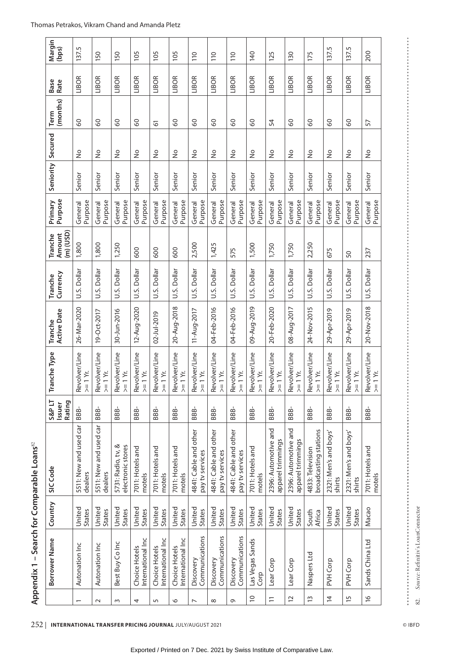| Margin<br>(bps)                      | 137.5                             | 150                               | 150                                     | 105                                | 105                               | 105                                | 110                                      | 110                                      | 110                                      | 140                          | 125                                       | 130                                       | 175                                       | 137.5                           | 137.5                           | 200                                                                    |
|--------------------------------------|-----------------------------------|-----------------------------------|-----------------------------------------|------------------------------------|-----------------------------------|------------------------------------|------------------------------------------|------------------------------------------|------------------------------------------|------------------------------|-------------------------------------------|-------------------------------------------|-------------------------------------------|---------------------------------|---------------------------------|------------------------------------------------------------------------|
| <b>Base</b><br>Rate                  | LIBOR                             | LIBOR                             | LIBOR                                   | LIBOR                              | LIBOR                             | LIBOR                              | LIBOR                                    | LIBOR                                    | LIBOR                                    | LIBOR                        | LIBOR                                     | LIBOR                                     | LIBOR                                     | LIBOR                           | <b>LIBOR</b>                    | LIBOR                                                                  |
| (months)<br>Term                     | 8                                 | 8                                 | 8                                       | 8                                  | 5                                 | 8                                  | 8                                        | 8                                        | 8                                        | 8                            | 54                                        | 8                                         | 8                                         | 8                               | 8                               | 57                                                                     |
| Secured                              | $\frac{1}{2}$                     | $\frac{1}{2}$                     | $\frac{1}{2}$                           | $\frac{1}{2}$                      | $\frac{1}{2}$                     | $\frac{1}{2}$                      | $\frac{1}{2}$                            | $\frac{1}{2}$                            | $\frac{1}{2}$                            | $\frac{1}{2}$                | $\frac{1}{2}$                             | $\frac{1}{2}$                             | $\frac{1}{2}$                             | $\frac{1}{2}$                   | $\frac{1}{2}$                   | $\frac{1}{2}$                                                          |
| Seniority                            | Senior                            | Senior                            | Senior                                  | Senior                             | Senior                            | Senior                             | Senior                                   | Senior                                   | Senior                                   | Senior                       | Senior                                    | Senior                                    | Senior                                    | Senior                          | Senior                          | Senior                                                                 |
| Purpose<br>Primary                   | Purpose<br>General                | Purpose<br>General                | Purpose<br>General                      | Purpose<br>General                 | Purpose<br>General                | Purpose<br>General                 | Purpose<br>General                       | Purpose<br>General                       | Purpose<br>General                       | Purpose<br>General           | Purpose<br>General                        | Purpose<br>General                        | Purpose<br>General                        | Purpose<br>General              | Purpose<br>General              | Purpose<br>General                                                     |
| (m) (USD)<br>Amount<br>Tranche       | 1,800                             | 1,800                             | 1,250                                   | 600                                | 600                               | 600                                | 2,500                                    | 1,425                                    | 575                                      | 1,500                        | 1,750                                     | 1,750                                     | 2,250                                     | 675                             | 50                              | 237                                                                    |
| Currency<br>Tranche                  | U.S. Dollar                       | U.S. Dollar                       | U.S. Dollar                             | U.S. Dollar                        | U.S. Dollar                       | U.S. Dollar                        | U.S. Dollar                              | U.S. Dollar                              | U.S. Dollar                              | U.S. Dollar                  | U.S. Dollar                               | U.S. Dollar                               | U.S. Dollar                               | U.S. Dollar                     | U.S. Dollar                     | U.S. Dollar                                                            |
| <b>Active Date</b><br>Tranche        | 26-Mar-2020                       | 19-Oct-2017                       | 30-Jun-2016                             | 12-Aug-2020                        | 02-Jul-2019                       | 20-Aug-2018                        | 11-Aug-2017                              | 04-Feb-2016                              | 04-Feb-2016                              | 09-Aug-2019                  | 20-Feb-2020                               | 08-Aug-2017                               | 24-Nov-2015                               | 29-Apr-2019                     | 29-Apr-2019                     | 20-Nov-2018                                                            |
| <b>Tranche Type</b>                  | Revolver/Line<br>$>= 1 Yr$ .      | Revolver/Line<br>$>= 1 Yr$ .      | Revolver/Line<br>$>= 1 Yr$ .            | Revolver/Line<br>$>= 1 Yr$ .       | Revolver/Line<br>$>= 1 Yr$ .      | Revolver/Line<br>$>= 1 Yr$ .       | Revolver/Line<br>$>= 1 Yr$ .             | Revolver/Line<br>$>= 1 Yr$ .             | Revolver/Line<br>$>= 1 Yr$ .             | Revolver/Line<br>$>= 1 Yr$ . | Revolver/Line<br>$>= 1 Yr$ .              | Revolver/Line<br>$\geq$ = 1 Yr.           | Revolver/Line<br>$>= 1 Yr$ .              | Revolver/Line<br>$>= 1 Yr$ .    | Revolver/Line<br>$>= 1 Yr$ .    | $\begin{cases} \text{Revolver/Line} \\ \geq 1 \text{ Yr.} \end{cases}$ |
| Rating<br><b>S&amp;PLT</b><br>Issuer | <b>BBB-</b>                       | BBB-                              | BBB-                                    | BBB-                               | BBB-                              | BBB-                               | BBB-                                     | <b>BBB-</b>                              | BBB-                                     | BBB-                         | BBB-                                      | BBB-                                      | BBB-                                      | BBB-                            | BBB-                            | BBB-                                                                   |
| SIC Code                             | 5511: New and used car<br>dealers | 5511: New and used car<br>dealers | 5731: Radio, tv, &<br>electronic stores | 7011: Hotels and<br>motels         | 7011: Hotels and<br>motels        | 7011: Hotels and<br>motels         | 4841: Cable and other<br>pay tv services | 4841: Cable and other<br>pay tv services | 4841: Cable and other<br>pay tv services | 7011: Hotels and<br>motels   | 2396: Automotive and<br>apparel trimmings | 2396: Automotive and<br>apparel trimmings | broadcasting stations<br>4833: Television | 2321: Men's and boys'<br>shirts | 2321: Men's and boys'<br>shirts | 7011: Hotels and<br>motels                                             |
| Country                              | United<br>States                  | United<br>States                  | United<br>States                        | United<br>States                   | United<br>States                  | United<br>States                   | United<br>States                         | United<br>States                         | United<br>States                         | United<br>States             | United<br>States                          | United<br><b>States</b>                   | South<br>Africa                           | United<br>States                | United<br><b>States</b>         | Масао                                                                  |
| Borrower Name                        | Autonation Inc                    | Autonation Inc                    | Best Buy Co Inc                         | International Inc<br>Choice Hotels | International Inc<br>Choice Hotel | International Inc<br>Choice Hotels | Communications<br>Discovery              | Communications<br>Discovery              | Communications<br>Discovery              | Las Vegas Sands<br>Corp      | Lear Corp                                 | Lear Corp                                 | Naspers Ltd                               | PVH Corp                        | PVH Corp                        | Sands China Ltd                                                        |
|                                      | $\overline{\phantom{0}}$          | $\sim$                            | $\sim$                                  | 4                                  | $\sqrt{2}$                        | 0                                  | $\overline{ }$                           | $\infty$                                 | G                                        | $\supseteq$                  | $\equiv$                                  | $\overline{c}$                            | $\tilde{1}$                               | $\overline{4}$                  | $\overline{5}$                  | $\frac{6}{2}$                                                          |

Appendix 1 - Search for Comparable Loans<sup>82</sup> **Appendix 1 – Search for Comparable Loans**82

82. *Source*: Refinitiv's LoanConnector

82.

Source: Refinitiv's LoanConnector

--------

.......

#### Thomas Petrakos, Vikram Chand and Amanda Pletz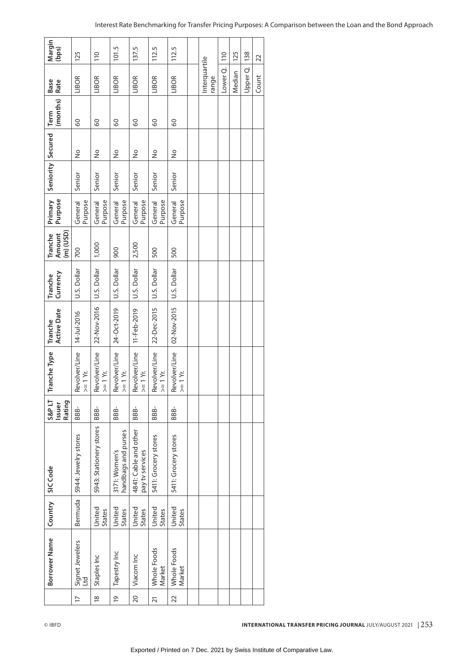| Margin<br>(bps)                      | 125                          | 110                          | 101.5                                | 137.5                                    | 112.5                        | 112.5                        |                        |                | 125    | 138      | 22    |
|--------------------------------------|------------------------------|------------------------------|--------------------------------------|------------------------------------------|------------------------------|------------------------------|------------------------|----------------|--------|----------|-------|
| <b>Base</b><br>Rate                  | LIBOR                        | LIBOR                        | LIBOR                                | LIBOR                                    | LIBOR                        | LIBOR                        | Interquartile<br>range | Lower Q.   110 | Median | Upper Q. | Count |
| (months)<br>Term                     | 8                            | 8                            | 8                                    | 8                                        | 8                            | 8                            |                        |                |        |          |       |
|                                      | ş                            | $\frac{1}{2}$                | $\frac{1}{2}$                        | $\frac{1}{2}$                            | ş                            | $\frac{1}{2}$                |                        |                |        |          |       |
| Seniority Secured                    | Senior                       | Senior                       | Senior                               | Senior                                   | Senior                       | Senior                       |                        |                |        |          |       |
| Primary<br>Purpose                   | Purpose<br>General           | Purpose<br>General           | General<br>Purpose                   | General<br>Purpose                       | Purpose<br>General           | Purpose<br>General           |                        |                |        |          |       |
| $(m)$ (USD)<br>Amount<br>Tranche     | 700                          | 1,000                        | 900                                  | 2,500                                    | 500                          | 500                          |                        |                |        |          |       |
| Currency<br>Tranche                  | U.S. Dollar                  |                              | U.S. Dollar                          | U.S. Dollar                              | U.S. Dollar                  | U.S. Dollar                  |                        |                |        |          |       |
| <b>Active Date</b><br>Tranche        | $ 14 - Ju - 2016$            | 22-Nov-2016 U.S. Dollar      | 24-Oct-2019                          | 11-Feb-2019                              | 22-Dec-2015                  | 02-Nov-2015                  |                        |                |        |          |       |
| <b>Tranche Type</b>                  | Revolver/Line<br>$>= 1 Yr$ . | Revolver/Line<br>$>= 1 Yr$ . | Revolver/Line<br>$>= 1 Yr$ .         | Revolver/Line<br>$>= 1 Yr$ .             | Revolver/Line<br>$>= 1 Yr$ . | Revolver/Line<br>$>= 1 Yr$ . |                        |                |        |          |       |
| <b>S&amp;PLT</b><br>Rating<br>Issuer | BBB-                         | BBB-                         | <b>BBB-</b>                          | BBB-                                     | BBB-                         | BBB-                         |                        |                |        |          |       |
|                                      | 5944: Jewelry stores         | 5943: Stationery stores      | handbags and purses<br>3171: Women's | 4841: Cable and other<br>pay tv services | 5411: Grocery stores         | 5411: Grocery stores         |                        |                |        |          |       |
| Country SIC Code                     | Bermuda                      | United<br><b>States</b>      | United<br>States                     | United<br>States                         | United<br>States             | United<br>States             |                        |                |        |          |       |
| Borrower Name                        | Signet Jewelers<br>Ltd       | Staples Inc                  | Tapestry Inc                         | Viacom Inc                               | Whole Foods<br>Market        | Whole Foods<br>Market        |                        |                |        |          |       |
|                                      | $\overline{1}$               | $\frac{8}{2}$                | $\overline{6}$                       | 20                                       | 21                           | 22                           |                        |                |        |          |       |

# Interest Rate Benchmarking for Transfer Pricing Purposes: A Comparison between the Loan and the Bond Approach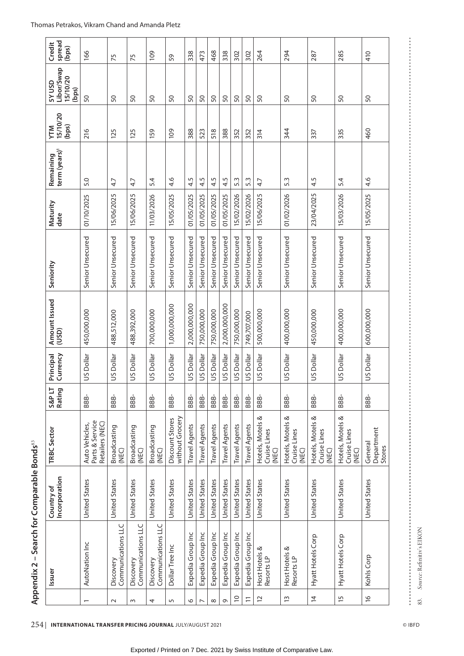| spread<br>Credit<br>(bps)                         | 166                                                  | 75                              | 75                              | 109                             | 59                                 | 338                  | 473                  | 468                  | 338                  | 302                  | 302                  | 264                                       | 294                                       | 287                                       | 285                                       | 410                             |
|---------------------------------------------------|------------------------------------------------------|---------------------------------|---------------------------------|---------------------------------|------------------------------------|----------------------|----------------------|----------------------|----------------------|----------------------|----------------------|-------------------------------------------|-------------------------------------------|-------------------------------------------|-------------------------------------------|---------------------------------|
| Libor/Swap<br>15/10/20<br><b>GSV NSD</b><br>(bps) | 50                                                   | 50                              | 50                              | 50                              | 50                                 | 50                   | 50                   | SO                   | 50                   | SO                   | SO                   | SO                                        | 50                                        | 50                                        | 50                                        | SO                              |
| <b>YTM</b><br>15/10/20<br>(bps)                   | 216                                                  | 125                             | 125                             | 159                             | 109                                | 388                  | 523                  | 518                  | 388                  | 352                  | 352                  | 314                                       | 344                                       | 337                                       | 335                                       | 460                             |
| term (years)<br>Remaining                         | 5.0                                                  | 4.7                             | 4.7                             | 5.4                             | 4.6                                | rŪ.<br>4.            | 4.5                  | 4.5                  | 4.5                  | S<br>ெ               | 5.3                  | 4.7                                       | 5.3                                       | 4.5                                       | 5.4                                       | 4.6                             |
| Maturity<br>date                                  | 01/10/2025                                           | 15/06/2025                      | 15/06/2025                      | 11/03/2026                      | 15/05/2025                         | 01/05/2025           | 01/05/2025           | 01/05/2025           | 01/05/2025           | 15/02/2026           | 15/02/2026           | 15/06/2025                                | 01/02/2026                                | 23/04/2025                                | 15/03/2026                                | 15/05/2025                      |
| Seniority                                         | Senior Unsecured                                     | Senior Unsecured                | Senior Unsecured                | Senior Unsecured                | Senior Unsecured                   | Senior Unsecured     | Senior Unsecured     | Senior Unsecured     | Senior Unsecured     | Senior Unsecured     | Senior Unsecured     | Senior Unsecured                          | Senior Unsecured                          | Senior Unsecured                          | Senior Unsecured                          | Senior Unsecured                |
| Amount Issued<br>(USD)                            | 450,000,000                                          | 488,512,000                     | 488,392,000                     | 700,000,000                     | 1,000,000,000                      | 2,000,000,000        | 750,000,000          | 750,000,000          | 2,000,000,000        | 750,000,000          | 749,707,000          | 500,000,000                               | 400,000,000                               | 450,000,000                               | 400,000,000                               | 600,000,000                     |
| Currency<br>Principal                             | US Dollar                                            | US Dollar                       | US Dollar                       | US Dollar                       | US Dollar                          | US Dollar            | US Dollar            | US Dollar            | US Dollar            | US Dollar            | US Dollar            | US Dollar                                 | US Dollar                                 | US Dollar                                 | US Dollar                                 | US Dollar                       |
| Rating<br>S&P LT                                  | 886-                                                 | BBB-                            | BBB-                            | BBB-                            | BBB-                               | BBB-                 | BBB-                 | BBB-                 | <b>BBB-</b>          | BBB-                 | BBB-                 | BBB-                                      | BBB-                                      | BBB-                                      | BBB-                                      | BBB-                            |
| TRBC Sector                                       | Parts & Service<br>Retailers (NEC)<br>Auto Vehicles, | Broadcasting<br>(NEC)           | Broadcasting<br>(NEC)           | Broadcasting<br>(NEC)           | without Grocery<br>Discount Stores | <b>Travel Agents</b> | <b>Travel Agents</b> | <b>Travel Agents</b> | <b>Travel Agents</b> | <b>Travel Agents</b> | <b>Travel Agents</b> | Hotels, Motels &<br>Cruise Lines<br>(NEC) | Hotels, Motels &<br>Cruise Lines<br>(NEC) | Hotels, Motels &<br>Cruise Lines<br>(NEC) | Hotels, Motels &<br>Cruise Lines<br>(NEC) | Department<br>General<br>Stores |
| Incorporation<br>Country of                       | United States                                        | United States                   | United States                   | United States                   | United States                      | United States        | United States        | <b>United States</b> | United States        | <b>United States</b> | United States        | United States                             | United States                             | United States                             | United States                             | United States                   |
| Issuer                                            | AutoNation Inc                                       | Communications LLC<br>Discovery | Communications LLC<br>Discovery | Communications LLC<br>Discovery | Dollar Tree Inc                    | Expedia Group Inc    | Expedia Group Inc    | Expedia Group Inc    | Expedia Group Inc    | Expedia Group Inc    | Expedia Group Inc    | Host Hotels &<br>Resorts LP               | Host Hotels &<br>Resorts LP               | Hyatt Hotels Corp                         | Hyatt Hotels Corp                         | Kohls Corp                      |
|                                                   |                                                      | $\sim$                          | $\sim$                          | 4                               | 5                                  | $\circ$              | $\overline{ }$       | $\infty$             | G                    | $\supseteq$          | $\overline{1}$       | $\overline{c}$                            | $\tilde{1}$                               | $\overline{4}$                            | $\overline{1}$                            | $\frac{1}{2}$                   |

254 **International Transfer Pricing Journal** July/August 2021 © IBFD

83. *Source*: Refinitiv's EIKON

Source: Refinitiv's EIKON

# Exported / Printed on 7 Dec. 2021 by Swiss Institute of Comparative Law.

 $\frac{1}{2}$ 83.